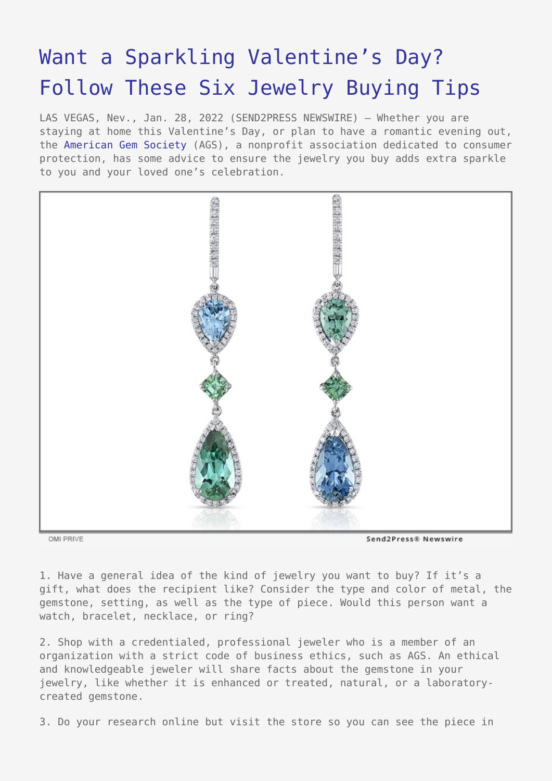## [Want a Sparkling Valentine's Day?](https://www.send2press.com/wire/want-a-sparkling-valentines-day-follow-these-six-jewelry-buying-tips/) [Follow These Six Jewelry Buying Tips](https://www.send2press.com/wire/want-a-sparkling-valentines-day-follow-these-six-jewelry-buying-tips/)

LAS VEGAS, Nev., Jan. 28, 2022 (SEND2PRESS NEWSWIRE) — Whether you are staying at home this Valentine's Day, or plan to have a romantic evening out, the [American Gem Society](http://www.americangemsociety.org) (AGS), a nonprofit association dedicated to consumer protection, has some advice to ensure the jewelry you buy adds extra sparkle to you and your loved one's celebration.



OMI PRIVE

Send2Press® Newswire

1. Have a general idea of the kind of jewelry you want to buy? If it's a gift, what does the recipient like? Consider the type and color of metal, the gemstone, setting, as well as the type of piece. Would this person want a watch, bracelet, necklace, or ring?

2. Shop with a credentialed, professional jeweler who is a member of an organization with a strict code of business ethics, such as AGS. An ethical and knowledgeable jeweler will share facts about the gemstone in your jewelry, like whether it is enhanced or treated, natural, or a laboratorycreated gemstone.

3. Do your research online but visit the store so you can see the piece in